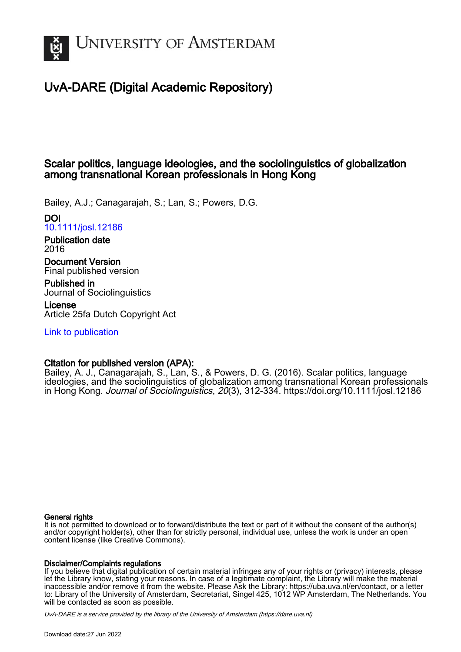

# UvA-DARE (Digital Academic Repository)

# Scalar politics, language ideologies, and the sociolinguistics of globalization among transnational Korean professionals in Hong Kong

Bailey, A.J.; Canagarajah, S.; Lan, S.; Powers, D.G.

DOI [10.1111/josl.12186](https://doi.org/10.1111/josl.12186)

Publication date 2016

Document Version Final published version

Published in Journal of Sociolinguistics

License Article 25fa Dutch Copyright Act

[Link to publication](https://dare.uva.nl/personal/pure/en/publications/scalar-politics-language-ideologies-and-the-sociolinguistics-of-globalization-among-transnational-korean-professionals-in-hong-kong(0024c172-8225-4d47-841a-bebad349b983).html)

# Citation for published version (APA):

Bailey, A. J., Canagarajah, S., Lan, S., & Powers, D. G. (2016). Scalar politics, language ideologies, and the sociolinguistics of globalization among transnational Korean professionals in Hong Kong. Journal of Sociolinguistics, 20(3), 312-334.<https://doi.org/10.1111/josl.12186>

## General rights

It is not permitted to download or to forward/distribute the text or part of it without the consent of the author(s) and/or copyright holder(s), other than for strictly personal, individual use, unless the work is under an open content license (like Creative Commons).

## Disclaimer/Complaints regulations

If you believe that digital publication of certain material infringes any of your rights or (privacy) interests, please let the Library know, stating your reasons. In case of a legitimate complaint, the Library will make the material inaccessible and/or remove it from the website. Please Ask the Library: https://uba.uva.nl/en/contact, or a letter to: Library of the University of Amsterdam, Secretariat, Singel 425, 1012 WP Amsterdam, The Netherlands. You will be contacted as soon as possible.

UvA-DARE is a service provided by the library of the University of Amsterdam (http*s*://dare.uva.nl)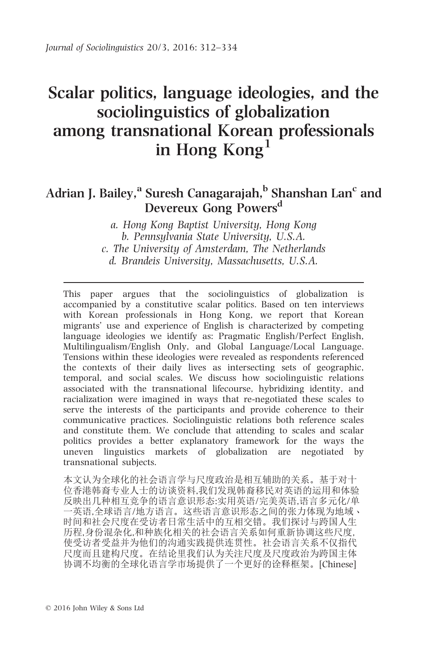# Scalar politics, language ideologies, and the sociolinguistics of globalization among transnational Korean professionals in Hong Kong<sup>1</sup>

# Adrian J. Bailey,<sup>a</sup> Suresh Canagarajah,<sup>b</sup> Shanshan Lan<sup>c</sup> and Devereux Gong Powers<sup>d</sup>

a. Hong Kong Baptist University, Hong Kong b. Pennsylvania State University, U.S.A. c. The University of Amsterdam, The Netherlands d. Brandeis University, Massachusetts, U.S.A.

This paper argues that the sociolinguistics of globalization is accompanied by a constitutive scalar politics. Based on ten interviews with Korean professionals in Hong Kong, we report that Korean migrants' use and experience of English is characterized by competing language ideologies we identify as: Pragmatic English/Perfect English, Multilingualism/English Only, and Global Language/Local Language. Tensions within these ideologies were revealed as respondents referenced the contexts of their daily lives as intersecting sets of geographic, temporal, and social scales. We discuss how sociolinguistic relations associated with the transnational lifecourse, hybridizing identity, and racialization were imagined in ways that re-negotiated these scales to serve the interests of the participants and provide coherence to their communicative practices. Sociolinguistic relations both reference scales and constitute them. We conclude that attending to scales and scalar politics provides a better explanatory framework for the ways the uneven linguistics markets of globalization are negotiated by transnational subjects.

本文认为全球化的社会语言学与尺度政治是相互辅助的关系。基于对十 位香港韩裔专业人士的访谈资料,我们发现韩裔移民对英语的运用和体验 反映出几种相互竞争的语言意识形态:实用英语/完美英语,语言多元化/单 一英语,全球语言/地方语言。这些语言意识形态之间的张力体现为地域、 时间和社会尺度在受访者日常生活中的互相交错。我们探讨与跨国人生 历程,身份混杂化,和种族化相关的社会语言关系如何重新协调这些尺度, 使受访者受益并为他们的沟通实践提供连贯性。社会语言关系不仅指代 尺度而且建构尺度。在结论里我们认为关注尺度及尺度政治为跨国主体 协调不均衡的全球化语言学市场提供了一个更好的诠释框架。[Chinese]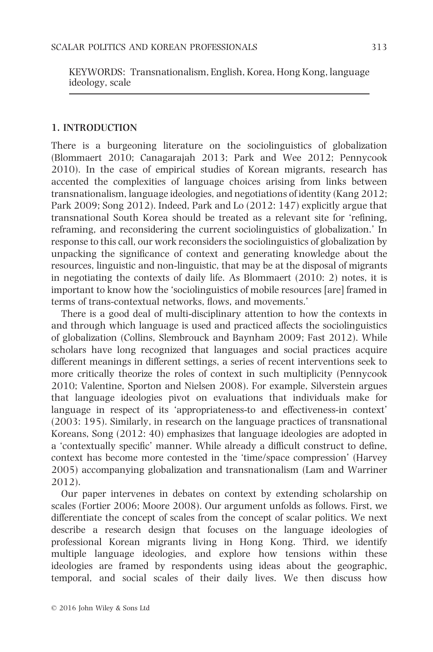KEYWORDS: Transnationalism, English, Korea, Hong Kong, language ideology, scale

#### 1. INTRODUCTION

There is a burgeoning literature on the sociolinguistics of globalization (Blommaert 2010; Canagarajah 2013; Park and Wee 2012; Pennycook 2010). In the case of empirical studies of Korean migrants, research has accented the complexities of language choices arising from links between transnationalism, language ideologies, and negotiations of identity (Kang 2012; Park 2009; Song 2012). Indeed, Park and Lo (2012: 147) explicitly argue that transnational South Korea should be treated as a relevant site for 'refining, reframing, and reconsidering the current sociolinguistics of globalization.' In response to this call, our work reconsiders the sociolinguistics of globalization by unpacking the significance of context and generating knowledge about the resources, linguistic and non-linguistic, that may be at the disposal of migrants in negotiating the contexts of daily life. As Blommaert (2010: 2) notes, it is important to know how the 'sociolinguistics of mobile resources [are] framed in terms of trans-contextual networks, flows, and movements.'

There is a good deal of multi-disciplinary attention to how the contexts in and through which language is used and practiced affects the sociolinguistics of globalization (Collins, Slembrouck and Baynham 2009; Fast 2012). While scholars have long recognized that languages and social practices acquire different meanings in different settings, a series of recent interventions seek to more critically theorize the roles of context in such multiplicity (Pennycook 2010; Valentine, Sporton and Nielsen 2008). For example, Silverstein argues that language ideologies pivot on evaluations that individuals make for language in respect of its 'appropriateness-to and effectiveness-in context' (2003: 195). Similarly, in research on the language practices of transnational Koreans, Song (2012: 40) emphasizes that language ideologies are adopted in a 'contextually specific' manner. While already a difficult construct to define, context has become more contested in the 'time/space compression' (Harvey 2005) accompanying globalization and transnationalism (Lam and Warriner 2012).

Our paper intervenes in debates on context by extending scholarship on scales (Fortier 2006; Moore 2008). Our argument unfolds as follows. First, we differentiate the concept of scales from the concept of scalar politics. We next describe a research design that focuses on the language ideologies of professional Korean migrants living in Hong Kong. Third, we identify multiple language ideologies, and explore how tensions within these ideologies are framed by respondents using ideas about the geographic, temporal, and social scales of their daily lives. We then discuss how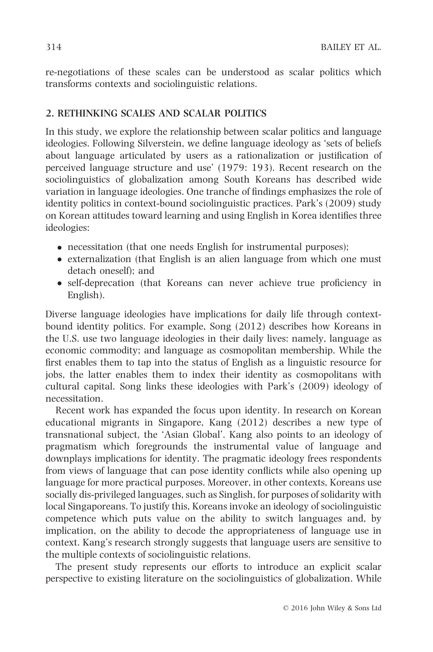re-negotiations of these scales can be understood as scalar politics which transforms contexts and sociolinguistic relations.

## 2. RETHINKING SCALES AND SCALAR POLITICS

In this study, we explore the relationship between scalar politics and language ideologies. Following Silverstein, we define language ideology as 'sets of beliefs about language articulated by users as a rationalization or justification of perceived language structure and use' (1979: 193). Recent research on the sociolinguistics of globalization among South Koreans has described wide variation in language ideologies. One tranche of findings emphasizes the role of identity politics in context-bound sociolinguistic practices. Park's (2009) study on Korean attitudes toward learning and using English in Korea identifies three ideologies:

- necessitation (that one needs English for instrumental purposes);
- externalization (that English is an alien language from which one must detach oneself); and
- self-deprecation (that Koreans can never achieve true proficiency in English).

Diverse language ideologies have implications for daily life through contextbound identity politics. For example, Song (2012) describes how Koreans in the U.S. use two language ideologies in their daily lives: namely, language as economic commodity; and language as cosmopolitan membership. While the first enables them to tap into the status of English as a linguistic resource for jobs, the latter enables them to index their identity as cosmopolitans with cultural capital. Song links these ideologies with Park's (2009) ideology of necessitation.

Recent work has expanded the focus upon identity. In research on Korean educational migrants in Singapore, Kang (2012) describes a new type of transnational subject, the 'Asian Global'. Kang also points to an ideology of pragmatism which foregrounds the instrumental value of language and downplays implications for identity. The pragmatic ideology frees respondents from views of language that can pose identity conflicts while also opening up language for more practical purposes. Moreover, in other contexts, Koreans use socially dis-privileged languages, such as Singlish, for purposes of solidarity with local Singaporeans. To justify this, Koreans invoke an ideology of sociolinguistic competence which puts value on the ability to switch languages and, by implication, on the ability to decode the appropriateness of language use in context. Kang's research strongly suggests that language users are sensitive to the multiple contexts of sociolinguistic relations.

The present study represents our efforts to introduce an explicit scalar perspective to existing literature on the sociolinguistics of globalization. While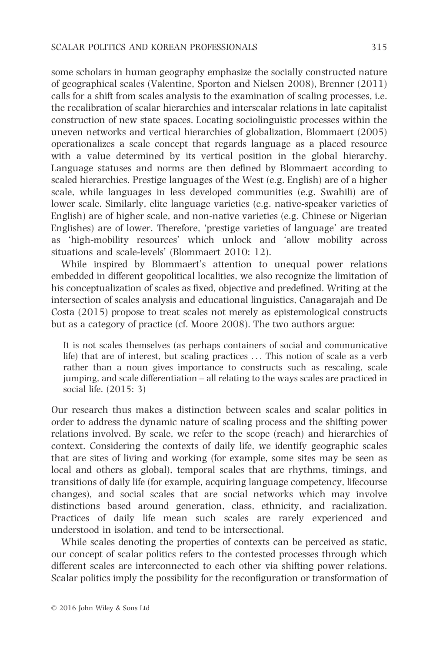some scholars in human geography emphasize the socially constructed nature of geographical scales (Valentine, Sporton and Nielsen 2008), Brenner (2011) calls for a shift from scales analysis to the examination of scaling processes, i.e. the recalibration of scalar hierarchies and interscalar relations in late capitalist construction of new state spaces. Locating sociolinguistic processes within the uneven networks and vertical hierarchies of globalization, Blommaert (2005) operationalizes a scale concept that regards language as a placed resource with a value determined by its vertical position in the global hierarchy. Language statuses and norms are then defined by Blommaert according to scaled hierarchies. Prestige languages of the West (e.g. English) are of a higher scale, while languages in less developed communities (e.g. Swahili) are of lower scale. Similarly, elite language varieties (e.g. native-speaker varieties of English) are of higher scale, and non-native varieties (e.g. Chinese or Nigerian Englishes) are of lower. Therefore, 'prestige varieties of language' are treated as 'high-mobility resources' which unlock and 'allow mobility across situations and scale-levels' (Blommaert 2010: 12).

While inspired by Blommaert's attention to unequal power relations embedded in different geopolitical localities, we also recognize the limitation of his conceptualization of scales as fixed, objective and predefined. Writing at the intersection of scales analysis and educational linguistics, Canagarajah and De Costa (2015) propose to treat scales not merely as epistemological constructs but as a category of practice (cf. Moore 2008). The two authors argue:

It is not scales themselves (as perhaps containers of social and communicative life) that are of interest, but scaling practices ... This notion of scale as a verb rather than a noun gives importance to constructs such as rescaling, scale jumping, and scale differentiation – all relating to the ways scales are practiced in social life. (2015: 3)

Our research thus makes a distinction between scales and scalar politics in order to address the dynamic nature of scaling process and the shifting power relations involved. By scale, we refer to the scope (reach) and hierarchies of context. Considering the contexts of daily life, we identify geographic scales that are sites of living and working (for example, some sites may be seen as local and others as global), temporal scales that are rhythms, timings, and transitions of daily life (for example, acquiring language competency, lifecourse changes), and social scales that are social networks which may involve distinctions based around generation, class, ethnicity, and racialization. Practices of daily life mean such scales are rarely experienced and understood in isolation, and tend to be intersectional.

While scales denoting the properties of contexts can be perceived as static, our concept of scalar politics refers to the contested processes through which different scales are interconnected to each other via shifting power relations. Scalar politics imply the possibility for the reconfiguration or transformation of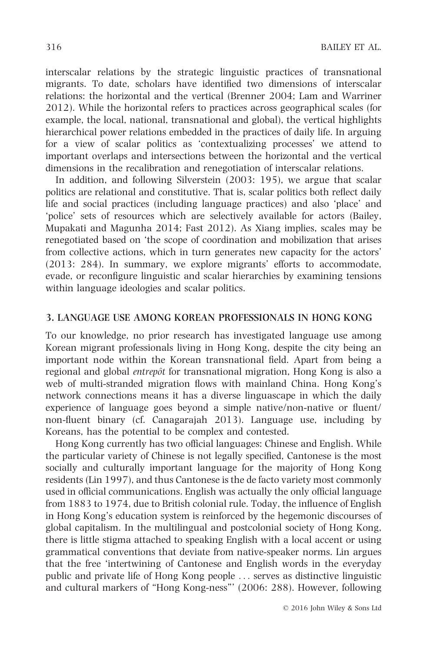interscalar relations by the strategic linguistic practices of transnational migrants. To date, scholars have identified two dimensions of interscalar relations: the horizontal and the vertical (Brenner 2004; Lam and Warriner 2012). While the horizontal refers to practices across geographical scales (for example, the local, national, transnational and global), the vertical highlights hierarchical power relations embedded in the practices of daily life. In arguing for a view of scalar politics as 'contextualizing processes' we attend to important overlaps and intersections between the horizontal and the vertical dimensions in the recalibration and renegotiation of interscalar relations.

In addition, and following Silverstein (2003: 195), we argue that scalar politics are relational and constitutive. That is, scalar politics both reflect daily life and social practices (including language practices) and also 'place' and 'police' sets of resources which are selectively available for actors (Bailey, Mupakati and Magunha 2014; Fast 2012). As Xiang implies, scales may be renegotiated based on 'the scope of coordination and mobilization that arises from collective actions, which in turn generates new capacity for the actors' (2013: 284). In summary, we explore migrants' efforts to accommodate, evade, or reconfigure linguistic and scalar hierarchies by examining tensions within language ideologies and scalar politics.

#### 3. LANGUAGE USE AMONG KOREAN PROFESSIONALS IN HONG KONG

To our knowledge, no prior research has investigated language use among Korean migrant professionals living in Hong Kong, despite the city being an important node within the Korean transnational field. Apart from being a regional and global entrepôt for transnational migration, Hong Kong is also a web of multi-stranded migration flows with mainland China. Hong Kong's network connections means it has a diverse linguascape in which the daily experience of language goes beyond a simple native/non-native or fluent/ non-fluent binary (cf. Canagarajah 2013). Language use, including by Koreans, has the potential to be complex and contested.

Hong Kong currently has two official languages: Chinese and English. While the particular variety of Chinese is not legally specified, Cantonese is the most socially and culturally important language for the majority of Hong Kong residents (Lin 1997), and thus Cantonese is the de facto variety most commonly used in official communications. English was actually the only official language from 1883 to 1974, due to British colonial rule. Today, the influence of English in Hong Kong's education system is reinforced by the hegemonic discourses of global capitalism. In the multilingual and postcolonial society of Hong Kong, there is little stigma attached to speaking English with a local accent or using grammatical conventions that deviate from native-speaker norms. Lin argues that the free 'intertwining of Cantonese and English words in the everyday public and private life of Hong Kong people ... serves as distinctive linguistic and cultural markers of "Hong Kong-ness"' (2006: 288). However, following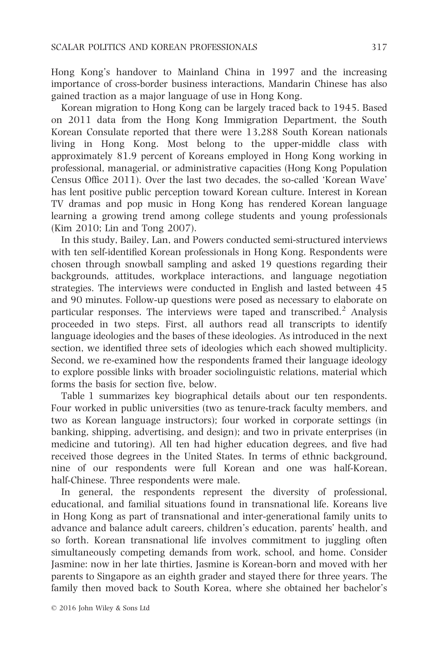Hong Kong's handover to Mainland China in 1997 and the increasing importance of cross-border business interactions, Mandarin Chinese has also gained traction as a major language of use in Hong Kong.

Korean migration to Hong Kong can be largely traced back to 1945. Based on 2011 data from the Hong Kong Immigration Department, the South Korean Consulate reported that there were 13,288 South Korean nationals living in Hong Kong. Most belong to the upper-middle class with approximately 81.9 percent of Koreans employed in Hong Kong working in professional, managerial, or administrative capacities (Hong Kong Population Census Office 2011). Over the last two decades, the so-called 'Korean Wave' has lent positive public perception toward Korean culture. Interest in Korean TV dramas and pop music in Hong Kong has rendered Korean language learning a growing trend among college students and young professionals (Kim 2010; Lin and Tong 2007).

In this study, Bailey, Lan, and Powers conducted semi-structured interviews with ten self-identified Korean professionals in Hong Kong. Respondents were chosen through snowball sampling and asked 19 questions regarding their backgrounds, attitudes, workplace interactions, and language negotiation strategies. The interviews were conducted in English and lasted between 45 and 90 minutes. Follow-up questions were posed as necessary to elaborate on particular responses. The interviews were taped and transcribed. $<sup>2</sup>$  Analysis</sup> proceeded in two steps. First, all authors read all transcripts to identify language ideologies and the bases of these ideologies. As introduced in the next section, we identified three sets of ideologies which each showed multiplicity. Second, we re-examined how the respondents framed their language ideology to explore possible links with broader sociolinguistic relations, material which forms the basis for section five, below.

Table 1 summarizes key biographical details about our ten respondents. Four worked in public universities (two as tenure-track faculty members, and two as Korean language instructors); four worked in corporate settings (in banking, shipping, advertising, and design); and two in private enterprises (in medicine and tutoring). All ten had higher education degrees, and five had received those degrees in the United States. In terms of ethnic background, nine of our respondents were full Korean and one was half-Korean, half-Chinese. Three respondents were male.

In general, the respondents represent the diversity of professional, educational, and familial situations found in transnational life. Koreans live in Hong Kong as part of transnational and inter-generational family units to advance and balance adult careers, children's education, parents' health, and so forth. Korean transnational life involves commitment to juggling often simultaneously competing demands from work, school, and home. Consider Jasmine: now in her late thirties, Jasmine is Korean-born and moved with her parents to Singapore as an eighth grader and stayed there for three years. The family then moved back to South Korea, where she obtained her bachelor's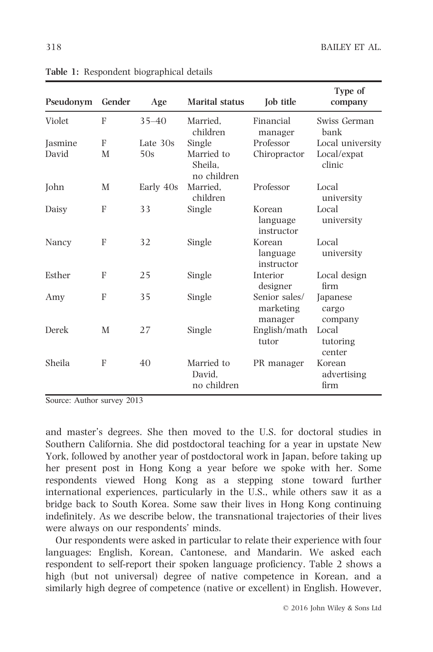| Pseudonym       | Gender | Age       | <b>Marital status</b>                | Job title                             | Type of<br>company            |
|-----------------|--------|-----------|--------------------------------------|---------------------------------------|-------------------------------|
| Violet          | F      | $35 - 40$ | Married.<br>children                 | Financial<br>manager                  | Swiss German<br>bank          |
| <b>J</b> asmine | F      | Late 30s  | Single                               | Professor                             | Local university              |
| David           | M      | 50s       | Married to<br>Sheila.<br>no children | Chiropractor                          | Local/expat<br>clinic         |
| John            | M      | Early 40s | Married.<br>children                 | Professor                             | Local<br>university           |
| Daisy           | F      | 33        | Single                               | Korean<br>language<br>instructor      | Local<br>university           |
| Nancy           | F      | 32        | Single                               | Korean<br>language<br>instructor      | Local<br>university           |
| Esther          | F      | 25        | Single                               | Interior<br>designer                  | Local design<br>firm          |
| Amy             | F      | 35        | Single                               | Senior sales/<br>marketing<br>manager | Japanese<br>cargo<br>company  |
| Derek           | M      | 27        | Single                               | English/math<br>tutor                 | Local<br>tutoring<br>center   |
| Sheila          | F      | 40        | Married to<br>David.<br>no children  | PR manager                            | Korean<br>advertising<br>firm |

Table 1: Respondent biographical details

Source: Author survey 2013

and master's degrees. She then moved to the U.S. for doctoral studies in Southern California. She did postdoctoral teaching for a year in upstate New York, followed by another year of postdoctoral work in Japan, before taking up her present post in Hong Kong a year before we spoke with her. Some respondents viewed Hong Kong as a stepping stone toward further international experiences, particularly in the U.S., while others saw it as a bridge back to South Korea. Some saw their lives in Hong Kong continuing indefinitely. As we describe below, the transnational trajectories of their lives were always on our respondents' minds.

Our respondents were asked in particular to relate their experience with four languages: English, Korean, Cantonese, and Mandarin. We asked each respondent to self-report their spoken language proficiency. Table 2 shows a high (but not universal) degree of native competence in Korean, and a similarly high degree of competence (native or excellent) in English. However,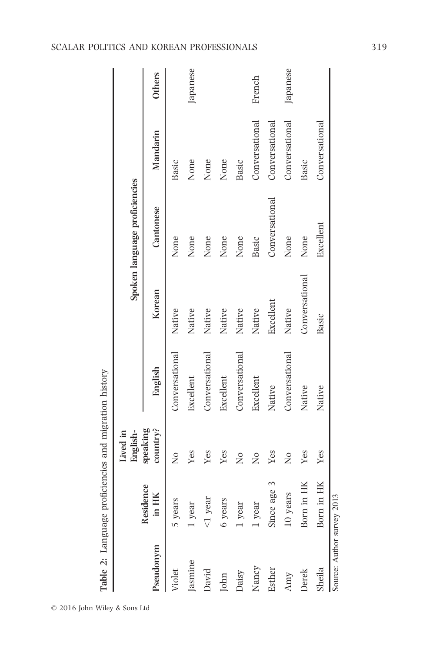| ٦<br>֠<br>I<br>I<br>I<br>I                                                                                                    |
|-------------------------------------------------------------------------------------------------------------------------------|
| ۱<br>ׇ֚֡<br>j<br>I<br>j<br>l<br>í<br>í<br>I<br>j<br>J<br>l<br>l<br>j<br>i<br>$\overline{a}$<br>۱                              |
| I<br>ĺ<br>ļ<br>ı<br>Ì                                                                                                         |
| j<br>í<br>ļ<br>۱<br>ļ<br>ï<br>I<br>l<br>۱<br>Ï<br>I<br>i<br>ľ                                                                 |
| I<br>ł<br>l<br>I<br>֖֖֖֧ׅ֧ׅ֖֧֖֧֚֚֚֚֚֚֚֚֚֚֚֚֚֚֚֚֚֚֚֚֚֚֚֚֚֚֚֚֚֚֡֝֝֬֝֓֞֝֬<br>j<br>I<br>l<br>١<br>l<br>ļ<br>֕<br>۱<br>l<br>í<br>I |
|                                                                                                                               |
| I<br>l<br>l<br>١                                                                                                              |

| ž<br>None |
|-----------|
|           |

|                        |                                                                                                   | English-<br>Lived in    |                |                | Spoken language proficiencies |                |          |
|------------------------|---------------------------------------------------------------------------------------------------|-------------------------|----------------|----------------|-------------------------------|----------------|----------|
| seudonym               | Residence<br>n HK                                                                                 | country?<br>speaking    | English        | Korean         | Cantonese                     | Mandarin       | Others   |
| <b>Ziolet</b>          | 5 years                                                                                           | $\overline{\mathsf{z}}$ | Conversational | Native         | None                          | Basic          |          |
| asmine                 |                                                                                                   | Yes                     | Excellent      | Native         | None                          | None           | Japanese |
| <b>David</b>           | $\begin{array}{c} \text{1 year} \\ \text{<1 year} \\ \text{6 years} \\ \text{1 year} \end{array}$ | Yes                     | Conversational | Native         | None                          | None           |          |
|                        |                                                                                                   | Yes                     | Excellent      | Native         | None                          | None           |          |
| John<br>Daisy<br>Nancy |                                                                                                   | $\overline{a}$          | Conversational | Native         | None                          | Basic          |          |
|                        | $1\,\,\mathrm{year}$                                                                              | $\overline{R}$          | Excellent      | Native         | Basic                         | Conversational | French   |
| Esther                 | Since age 3                                                                                       | Yes                     | Native         | Excellent      | Conversational                | Conversational |          |
| $\mbox{Amy}$           | $10\ \mathrm{years}$                                                                              | $\frac{1}{2}$           | Conversational | Native         | None                          | Conversational | Japanese |
| Derek                  | Born in HK                                                                                        | Yes                     | Native         | Conversational | None                          | Basic          |          |
| Sheila                 | Born in HK                                                                                        | Yes                     | Native         | Basic          | Excellent                     | Conversational |          |

#### SCALAR POLITICS AND KOREAN PROFESSIONALS 319

Source: Author survey 2013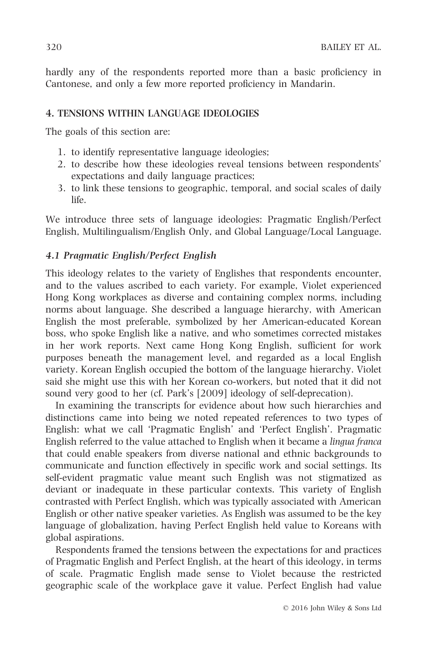hardly any of the respondents reported more than a basic proficiency in Cantonese, and only a few more reported proficiency in Mandarin.

#### 4. TENSIONS WITHIN LANGUAGE IDEOLOGIES

The goals of this section are:

- 1. to identify representative language ideologies;
- 2. to describe how these ideologies reveal tensions between respondents' expectations and daily language practices;
- 3. to link these tensions to geographic, temporal, and social scales of daily life.

We introduce three sets of language ideologies: Pragmatic English/Perfect English, Multilingualism/English Only, and Global Language/Local Language.

#### 4.1 Pragmatic English/Perfect English

This ideology relates to the variety of Englishes that respondents encounter, and to the values ascribed to each variety. For example, Violet experienced Hong Kong workplaces as diverse and containing complex norms, including norms about language. She described a language hierarchy, with American English the most preferable, symbolized by her American-educated Korean boss, who spoke English like a native, and who sometimes corrected mistakes in her work reports. Next came Hong Kong English, sufficient for work purposes beneath the management level, and regarded as a local English variety. Korean English occupied the bottom of the language hierarchy. Violet said she might use this with her Korean co-workers, but noted that it did not sound very good to her (cf. Park's [2009] ideology of self-deprecation).

In examining the transcripts for evidence about how such hierarchies and distinctions came into being we noted repeated references to two types of English: what we call 'Pragmatic English' and 'Perfect English'. Pragmatic English referred to the value attached to English when it became a lingua franca that could enable speakers from diverse national and ethnic backgrounds to communicate and function effectively in specific work and social settings. Its self-evident pragmatic value meant such English was not stigmatized as deviant or inadequate in these particular contexts. This variety of English contrasted with Perfect English, which was typically associated with American English or other native speaker varieties. As English was assumed to be the key language of globalization, having Perfect English held value to Koreans with global aspirations.

Respondents framed the tensions between the expectations for and practices of Pragmatic English and Perfect English, at the heart of this ideology, in terms of scale. Pragmatic English made sense to Violet because the restricted geographic scale of the workplace gave it value. Perfect English had value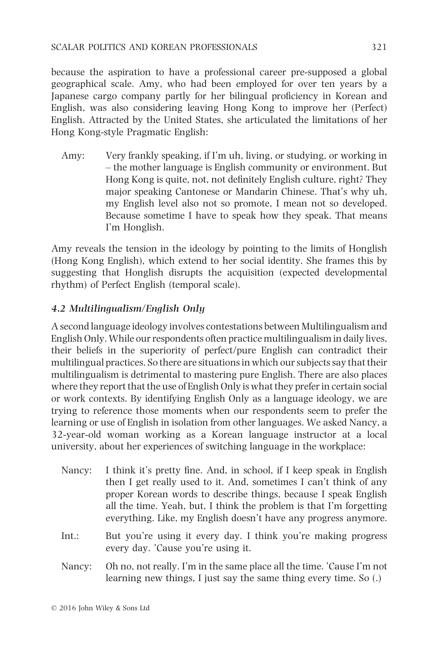because the aspiration to have a professional career pre-supposed a global geographical scale. Amy, who had been employed for over ten years by a Japanese cargo company partly for her bilingual proficiency in Korean and English, was also considering leaving Hong Kong to improve her (Perfect) English. Attracted by the United States, she articulated the limitations of her Hong Kong-style Pragmatic English:

Amy: Very frankly speaking, if I'm uh, living, or studying, or working in – the mother language is English community or environment. But Hong Kong is quite, not, not definitely English culture, right? They major speaking Cantonese or Mandarin Chinese. That's why uh, my English level also not so promote, I mean not so developed. Because sometime I have to speak how they speak. That means I'm Honglish.

Amy reveals the tension in the ideology by pointing to the limits of Honglish (Hong Kong English), which extend to her social identity. She frames this by suggesting that Honglish disrupts the acquisition (expected developmental rhythm) of Perfect English (temporal scale).

# 4.2 Multilingualism/English Only

A second language ideology involves contestations between Multilingualism and English Only. While our respondents often practice multilingualism in daily lives, their beliefs in the superiority of perfect/pure English can contradict their multilingual practices. So there are situations in which our subjects say that their multilingualism is detrimental to mastering pure English. There are also places where they report that the use of English Only is what they prefer in certain social or work contexts. By identifying English Only as a language ideology, we are trying to reference those moments when our respondents seem to prefer the learning or use of English in isolation from other languages. We asked Nancy, a 32-year-old woman working as a Korean language instructor at a local university, about her experiences of switching language in the workplace:

- Nancy: I think it's pretty fine. And, in school, if I keep speak in English then I get really used to it. And, sometimes I can't think of any proper Korean words to describe things, because I speak English all the time. Yeah, but, I think the problem is that I'm forgetting everything. Like, my English doesn't have any progress anymore.
- Int.: But you're using it every day. I think you're making progress every day. 'Cause you're using it.
- Nancy: Oh no, not really. I'm in the same place all the time. 'Cause I'm not learning new things, I just say the same thing every time. So (.)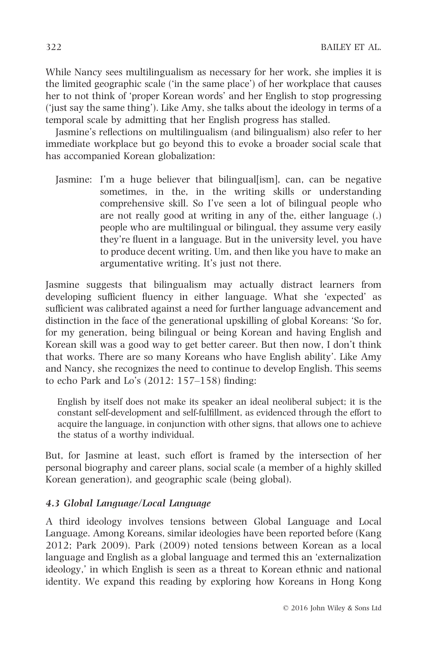While Nancy sees multilingualism as necessary for her work, she implies it is the limited geographic scale ('in the same place') of her workplace that causes her to not think of 'proper Korean words' and her English to stop progressing ('just say the same thing'). Like Amy, she talks about the ideology in terms of a temporal scale by admitting that her English progress has stalled.

Jasmine's reflections on multilingualism (and bilingualism) also refer to her immediate workplace but go beyond this to evoke a broader social scale that has accompanied Korean globalization:

Jasmine: I'm a huge believer that bilingual[ism], can, can be negative sometimes, in the, in the writing skills or understanding comprehensive skill. So I've seen a lot of bilingual people who are not really good at writing in any of the, either language (.) people who are multilingual or bilingual, they assume very easily they're fluent in a language. But in the university level, you have to produce decent writing. Um, and then like you have to make an argumentative writing. It's just not there.

Jasmine suggests that bilingualism may actually distract learners from developing sufficient fluency in either language. What she 'expected' as sufficient was calibrated against a need for further language advancement and distinction in the face of the generational upskilling of global Koreans: 'So for, for my generation, being bilingual or being Korean and having English and Korean skill was a good way to get better career. But then now, I don't think that works. There are so many Koreans who have English ability'. Like Amy and Nancy, she recognizes the need to continue to develop English. This seems to echo Park and Lo's (2012: 157–158) finding:

English by itself does not make its speaker an ideal neoliberal subject; it is the constant self-development and self-fulfillment, as evidenced through the effort to acquire the language, in conjunction with other signs, that allows one to achieve the status of a worthy individual.

But, for Jasmine at least, such effort is framed by the intersection of her personal biography and career plans, social scale (a member of a highly skilled Korean generation), and geographic scale (being global).

## 4.3 Global Language/Local Language

A third ideology involves tensions between Global Language and Local Language. Among Koreans, similar ideologies have been reported before (Kang 2012; Park 2009). Park (2009) noted tensions between Korean as a local language and English as a global language and termed this an 'externalization ideology,' in which English is seen as a threat to Korean ethnic and national identity. We expand this reading by exploring how Koreans in Hong Kong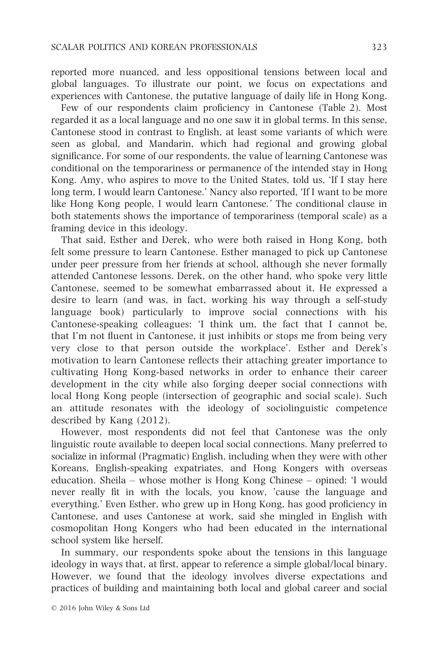reported more nuanced, and less oppositional tensions between local and global languages. To illustrate our point, we focus on expectations and experiences with Cantonese, the putative language of daily life in Hong Kong.

Few of our respondents claim proficiency in Cantonese (Table 2). Most regarded it as a local language and no one saw it in global terms. In this sense, Cantonese stood in contrast to English, at least some variants of which were seen as global, and Mandarin, which had regional and growing global significance. For some of our respondents, the value of learning Cantonese was conditional on the temporariness or permanence of the intended stay in Hong Kong. Amy, who aspires to move to the United States, told us, 'If I stay here long term, I would learn Cantonese.' Nancy also reported, 'If I want to be more like Hong Kong people, I would learn Cantonese.' The conditional clause in both statements shows the importance of temporariness (temporal scale) as a framing device in this ideology.

That said, Esther and Derek, who were both raised in Hong Kong, both felt some pressure to learn Cantonese. Esther managed to pick up Cantonese under peer pressure from her friends at school, although she never formally attended Cantonese lessons. Derek, on the other hand, who spoke very little Cantonese, seemed to be somewhat embarrassed about it. He expressed a desire to learn (and was, in fact, working his way through a self-study language book) particularly to improve social connections with his Cantonese-speaking colleagues: 'I think um, the fact that I cannot be, that I'm not fluent in Cantonese, it just inhibits or stops me from being very very close to that person outside the workplace'. Esther and Derek's motivation to learn Cantonese reflects their attaching greater importance to cultivating Hong Kong-based networks in order to enhance their career development in the city while also forging deeper social connections with local Hong Kong people (intersection of geographic and social scale). Such an attitude resonates with the ideology of sociolinguistic competence described by Kang (2012).

However, most respondents did not feel that Cantonese was the only linguistic route available to deepen local social connections. Many preferred to socialize in informal (Pragmatic) English, including when they were with other Koreans, English-speaking expatriates, and Hong Kongers with overseas education. Sheila – whose mother is Hong Kong Chinese – opined: 'I would never really fit in with the locals, you know, 'cause the language and everything.' Even Esther, who grew up in Hong Kong, has good proficiency in Cantonese, and uses Cantonese at work, said she mingled in English with cosmopolitan Hong Kongers who had been educated in the international school system like herself.

In summary, our respondents spoke about the tensions in this language ideology in ways that, at first, appear to reference a simple global/local binary. However, we found that the ideology involves diverse expectations and practices of building and maintaining both local and global career and social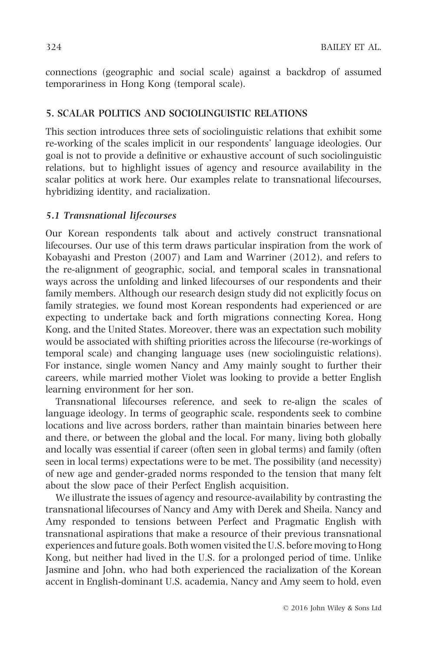connections (geographic and social scale) against a backdrop of assumed temporariness in Hong Kong (temporal scale).

#### 5. SCALAR POLITICS AND SOCIOLINGUISTIC RELATIONS

This section introduces three sets of sociolinguistic relations that exhibit some re-working of the scales implicit in our respondents' language ideologies. Our goal is not to provide a definitive or exhaustive account of such sociolinguistic relations, but to highlight issues of agency and resource availability in the scalar politics at work here. Our examples relate to transnational lifecourses, hybridizing identity, and racialization.

#### 5.1 Transnational lifecourses

Our Korean respondents talk about and actively construct transnational lifecourses. Our use of this term draws particular inspiration from the work of Kobayashi and Preston (2007) and Lam and Warriner (2012), and refers to the re-alignment of geographic, social, and temporal scales in transnational ways across the unfolding and linked lifecourses of our respondents and their family members. Although our research design study did not explicitly focus on family strategies, we found most Korean respondents had experienced or are expecting to undertake back and forth migrations connecting Korea, Hong Kong, and the United States. Moreover, there was an expectation such mobility would be associated with shifting priorities across the lifecourse (re-workings of temporal scale) and changing language uses (new sociolinguistic relations). For instance, single women Nancy and Amy mainly sought to further their careers, while married mother Violet was looking to provide a better English learning environment for her son.

Transnational lifecourses reference, and seek to re-align the scales of language ideology. In terms of geographic scale, respondents seek to combine locations and live across borders, rather than maintain binaries between here and there, or between the global and the local. For many, living both globally and locally was essential if career (often seen in global terms) and family (often seen in local terms) expectations were to be met. The possibility (and necessity) of new age and gender-graded norms responded to the tension that many felt about the slow pace of their Perfect English acquisition.

We illustrate the issues of agency and resource-availability by contrasting the transnational lifecourses of Nancy and Amy with Derek and Sheila. Nancy and Amy responded to tensions between Perfect and Pragmatic English with transnational aspirations that make a resource of their previous transnational experiences and future goals. Both women visited the U.S. before moving to Hong Kong, but neither had lived in the U.S. for a prolonged period of time. Unlike Jasmine and John, who had both experienced the racialization of the Korean accent in English-dominant U.S. academia, Nancy and Amy seem to hold, even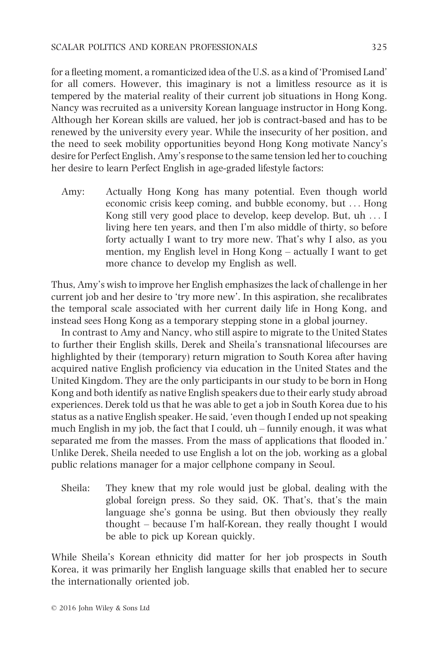for a fleeting moment, a romanticized idea of the U.S. as a kind of 'Promised Land' for all comers. However, this imaginary is not a limitless resource as it is tempered by the material reality of their current job situations in Hong Kong. Nancy was recruited as a university Korean language instructor in Hong Kong. Although her Korean skills are valued, her job is contract-based and has to be renewed by the university every year. While the insecurity of her position, and the need to seek mobility opportunities beyond Hong Kong motivate Nancy's desire for Perfect English, Amy's response to the same tension led her to couching her desire to learn Perfect English in age-graded lifestyle factors:

Amy: Actually Hong Kong has many potential. Even though world economic crisis keep coming, and bubble economy, but ... Hong Kong still very good place to develop, keep develop. But, uh ... I living here ten years, and then I'm also middle of thirty, so before forty actually I want to try more new. That's why I also, as you mention, my English level in Hong Kong – actually I want to get more chance to develop my English as well.

Thus, Amy's wish to improve her English emphasizes the lack of challenge in her current job and her desire to 'try more new'. In this aspiration, she recalibrates the temporal scale associated with her current daily life in Hong Kong, and instead sees Hong Kong as a temporary stepping stone in a global journey.

In contrast to Amy and Nancy, who still aspire to migrate to the United States to further their English skills, Derek and Sheila's transnational lifecourses are highlighted by their (temporary) return migration to South Korea after having acquired native English proficiency via education in the United States and the United Kingdom. They are the only participants in our study to be born in Hong Kong and both identify as native English speakers due to their early study abroad experiences. Derek told us that he was able to get a job in South Korea due to his status as a native English speaker. He said, 'even though I ended up not speaking much English in my job, the fact that I could, uh – funnily enough, it was what separated me from the masses. From the mass of applications that flooded in.' Unlike Derek, Sheila needed to use English a lot on the job, working as a global public relations manager for a major cellphone company in Seoul.

Sheila: They knew that my role would just be global, dealing with the global foreign press. So they said, OK. That's, that's the main language she's gonna be using. But then obviously they really thought – because I'm half-Korean, they really thought I would be able to pick up Korean quickly.

While Sheila's Korean ethnicity did matter for her job prospects in South Korea, it was primarily her English language skills that enabled her to secure the internationally oriented job.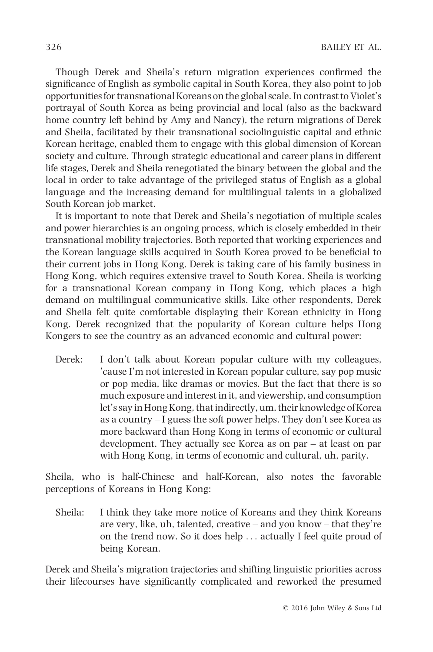Though Derek and Sheila's return migration experiences confirmed the significance of English as symbolic capital in South Korea, they also point to job opportunities for transnational Koreans on the global scale. In contrast to Violet's portrayal of South Korea as being provincial and local (also as the backward home country left behind by Amy and Nancy), the return migrations of Derek and Sheila, facilitated by their transnational sociolinguistic capital and ethnic Korean heritage, enabled them to engage with this global dimension of Korean society and culture. Through strategic educational and career plans in different life stages, Derek and Sheila renegotiated the binary between the global and the local in order to take advantage of the privileged status of English as a global language and the increasing demand for multilingual talents in a globalized South Korean job market.

It is important to note that Derek and Sheila's negotiation of multiple scales and power hierarchies is an ongoing process, which is closely embedded in their transnational mobility trajectories. Both reported that working experiences and the Korean language skills acquired in South Korea proved to be beneficial to their current jobs in Hong Kong. Derek is taking care of his family business in Hong Kong, which requires extensive travel to South Korea. Sheila is working for a transnational Korean company in Hong Kong, which places a high demand on multilingual communicative skills. Like other respondents, Derek and Sheila felt quite comfortable displaying their Korean ethnicity in Hong Kong. Derek recognized that the popularity of Korean culture helps Hong Kongers to see the country as an advanced economic and cultural power:

Derek: I don't talk about Korean popular culture with my colleagues, 'cause I'm not interested in Korean popular culture, say pop music or pop media, like dramas or movies. But the fact that there is so much exposure and interest in it, and viewership, and consumption let's say in Hong Kong, that indirectly, um, their knowledge of Korea as a country – I guess the soft power helps. They don't see Korea as more backward than Hong Kong in terms of economic or cultural development. They actually see Korea as on par – at least on par with Hong Kong, in terms of economic and cultural, uh, parity.

Sheila, who is half-Chinese and half-Korean, also notes the favorable perceptions of Koreans in Hong Kong:

Sheila: I think they take more notice of Koreans and they think Koreans are very, like, uh, talented, creative – and you know – that they're on the trend now. So it does help ... actually I feel quite proud of being Korean.

Derek and Sheila's migration trajectories and shifting linguistic priorities across their lifecourses have significantly complicated and reworked the presumed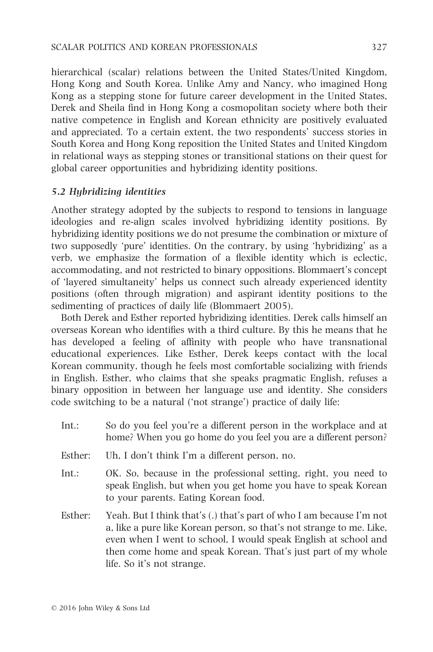hierarchical (scalar) relations between the United States/United Kingdom, Hong Kong and South Korea. Unlike Amy and Nancy, who imagined Hong Kong as a stepping stone for future career development in the United States, Derek and Sheila find in Hong Kong a cosmopolitan society where both their native competence in English and Korean ethnicity are positively evaluated and appreciated. To a certain extent, the two respondents' success stories in South Korea and Hong Kong reposition the United States and United Kingdom in relational ways as stepping stones or transitional stations on their quest for global career opportunities and hybridizing identity positions.

## 5.2 Hybridizing identities

Another strategy adopted by the subjects to respond to tensions in language ideologies and re-align scales involved hybridizing identity positions. By hybridizing identity positions we do not presume the combination or mixture of two supposedly 'pure' identities. On the contrary, by using 'hybridizing' as a verb, we emphasize the formation of a flexible identity which is eclectic, accommodating, and not restricted to binary oppositions. Blommaert's concept of 'layered simultaneity' helps us connect such already experienced identity positions (often through migration) and aspirant identity positions to the sedimenting of practices of daily life (Blommaert 2005).

Both Derek and Esther reported hybridizing identities. Derek calls himself an overseas Korean who identifies with a third culture. By this he means that he has developed a feeling of affinity with people who have transnational educational experiences. Like Esther, Derek keeps contact with the local Korean community, though he feels most comfortable socializing with friends in English. Esther, who claims that she speaks pragmatic English, refuses a binary opposition in between her language use and identity. She considers code switching to be a natural ('not strange') practice of daily life:

- Int.: So do you feel you're a different person in the workplace and at home? When you go home do you feel you are a different person?
- Esther: Uh, I don't think I'm a different person, no.
- Int.: OK. So, because in the professional setting, right, you need to speak English, but when you get home you have to speak Korean to your parents. Eating Korean food.
- Esther: Yeah. But I think that's (.) that's part of who I am because I'm not a, like a pure like Korean person, so that's not strange to me. Like, even when I went to school, I would speak English at school and then come home and speak Korean. That's just part of my whole life. So it's not strange.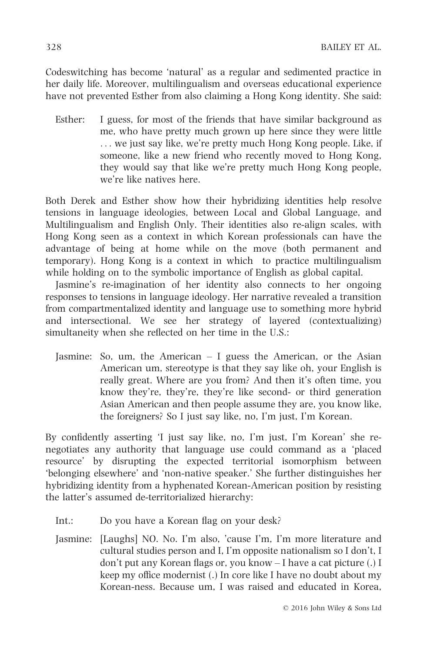Codeswitching has become 'natural' as a regular and sedimented practice in her daily life. Moreover, multilingualism and overseas educational experience have not prevented Esther from also claiming a Hong Kong identity. She said:

Esther: I guess, for most of the friends that have similar background as me, who have pretty much grown up here since they were little ... we just say like, we're pretty much Hong Kong people. Like, if someone, like a new friend who recently moved to Hong Kong, they would say that like we're pretty much Hong Kong people, we're like natives here.

Both Derek and Esther show how their hybridizing identities help resolve tensions in language ideologies, between Local and Global Language, and Multilingualism and English Only. Their identities also re-align scales, with Hong Kong seen as a context in which Korean professionals can have the advantage of being at home while on the move (both permanent and temporary). Hong Kong is a context in which to practice multilingualism while holding on to the symbolic importance of English as global capital.

Jasmine's re-imagination of her identity also connects to her ongoing responses to tensions in language ideology. Her narrative revealed a transition from compartmentalized identity and language use to something more hybrid and intersectional. We see her strategy of layered (contextualizing) simultaneity when she reflected on her time in the U.S.:

Jasmine: So, um, the American – I guess the American, or the Asian American um, stereotype is that they say like oh, your English is really great. Where are you from? And then it's often time, you know they're, they're, they're like second- or third generation Asian American and then people assume they are, you know like, the foreigners? So I just say like, no, I'm just, I'm Korean.

By confidently asserting 'I just say like, no, I'm just, I'm Korean' she renegotiates any authority that language use could command as a 'placed resource' by disrupting the expected territorial isomorphism between 'belonging elsewhere' and 'non-native speaker.' She further distinguishes her hybridizing identity from a hyphenated Korean-American position by resisting the latter's assumed de-territorialized hierarchy:

- Int.: Do you have a Korean flag on your desk?
- Jasmine: [Laughs] NO. No. I'm also, 'cause I'm, I'm more literature and cultural studies person and I, I'm opposite nationalism so I don't, I don't put any Korean flags or, you know – I have a cat picture (.) I keep my office modernist (.) In core like I have no doubt about my Korean-ness. Because um, I was raised and educated in Korea,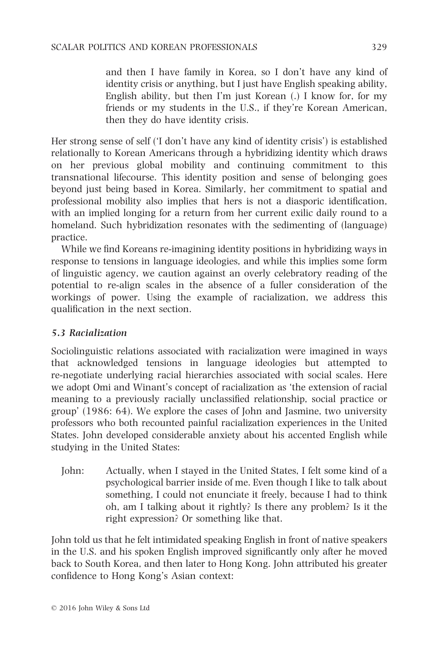and then I have family in Korea, so I don't have any kind of identity crisis or anything, but I just have English speaking ability, English ability, but then I'm just Korean (.) I know for, for my friends or my students in the U.S., if they're Korean American, then they do have identity crisis.

Her strong sense of self ('I don't have any kind of identity crisis') is established relationally to Korean Americans through a hybridizing identity which draws on her previous global mobility and continuing commitment to this transnational lifecourse. This identity position and sense of belonging goes beyond just being based in Korea. Similarly, her commitment to spatial and professional mobility also implies that hers is not a diasporic identification, with an implied longing for a return from her current exilic daily round to a homeland. Such hybridization resonates with the sedimenting of (language) practice.

While we find Koreans re-imagining identity positions in hybridizing ways in response to tensions in language ideologies, and while this implies some form of linguistic agency, we caution against an overly celebratory reading of the potential to re-align scales in the absence of a fuller consideration of the workings of power. Using the example of racialization, we address this qualification in the next section.

# 5.3 Racialization

Sociolinguistic relations associated with racialization were imagined in ways that acknowledged tensions in language ideologies but attempted to re-negotiate underlying racial hierarchies associated with social scales. Here we adopt Omi and Winant's concept of racialization as 'the extension of racial meaning to a previously racially unclassified relationship, social practice or group' (1986: 64). We explore the cases of John and Jasmine, two university professors who both recounted painful racialization experiences in the United States. John developed considerable anxiety about his accented English while studying in the United States:

John: Actually, when I stayed in the United States, I felt some kind of a psychological barrier inside of me. Even though I like to talk about something, I could not enunciate it freely, because I had to think oh, am I talking about it rightly? Is there any problem? Is it the right expression? Or something like that.

John told us that he felt intimidated speaking English in front of native speakers in the U.S. and his spoken English improved significantly only after he moved back to South Korea, and then later to Hong Kong. John attributed his greater confidence to Hong Kong's Asian context: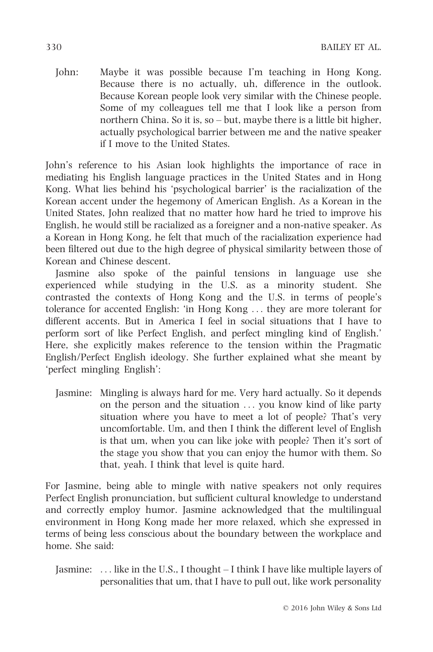John: Maybe it was possible because I'm teaching in Hong Kong. Because there is no actually, uh, difference in the outlook. Because Korean people look very similar with the Chinese people. Some of my colleagues tell me that I look like a person from northern China. So it is, so – but, maybe there is a little bit higher, actually psychological barrier between me and the native speaker if I move to the United States.

John's reference to his Asian look highlights the importance of race in mediating his English language practices in the United States and in Hong Kong. What lies behind his 'psychological barrier' is the racialization of the Korean accent under the hegemony of American English. As a Korean in the United States, John realized that no matter how hard he tried to improve his English, he would still be racialized as a foreigner and a non-native speaker. As a Korean in Hong Kong, he felt that much of the racialization experience had been filtered out due to the high degree of physical similarity between those of Korean and Chinese descent.

Jasmine also spoke of the painful tensions in language use she experienced while studying in the U.S. as a minority student. She contrasted the contexts of Hong Kong and the U.S. in terms of people's tolerance for accented English: 'in Hong Kong ... they are more tolerant for different accents. But in America I feel in social situations that I have to perform sort of like Perfect English, and perfect mingling kind of English.' Here, she explicitly makes reference to the tension within the Pragmatic English/Perfect English ideology. She further explained what she meant by 'perfect mingling English':

Jasmine: Mingling is always hard for me. Very hard actually. So it depends on the person and the situation ... you know kind of like party situation where you have to meet a lot of people? That's very uncomfortable. Um, and then I think the different level of English is that um, when you can like joke with people? Then it's sort of the stage you show that you can enjoy the humor with them. So that, yeah. I think that level is quite hard.

For Jasmine, being able to mingle with native speakers not only requires Perfect English pronunciation, but sufficient cultural knowledge to understand and correctly employ humor. Jasmine acknowledged that the multilingual environment in Hong Kong made her more relaxed, which she expressed in terms of being less conscious about the boundary between the workplace and home. She said:

Jasmine: ... like in the U.S., I thought – I think I have like multiple layers of personalities that um, that I have to pull out, like work personality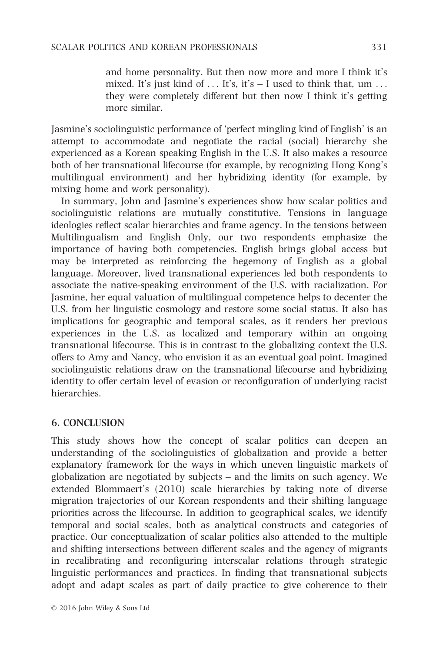and home personality. But then now more and more I think it's mixed. It's just kind of  $\dots$  It's, it's  $-$  I used to think that, um  $\dots$ they were completely different but then now I think it's getting more similar.

Jasmine's sociolinguistic performance of 'perfect mingling kind of English' is an attempt to accommodate and negotiate the racial (social) hierarchy she experienced as a Korean speaking English in the U.S. It also makes a resource both of her transnational lifecourse (for example, by recognizing Hong Kong's multilingual environment) and her hybridizing identity (for example, by mixing home and work personality).

In summary, John and Jasmine's experiences show how scalar politics and sociolinguistic relations are mutually constitutive. Tensions in language ideologies reflect scalar hierarchies and frame agency. In the tensions between Multilingualism and English Only, our two respondents emphasize the importance of having both competencies. English brings global access but may be interpreted as reinforcing the hegemony of English as a global language. Moreover, lived transnational experiences led both respondents to associate the native-speaking environment of the U.S. with racialization. For Jasmine, her equal valuation of multilingual competence helps to decenter the U.S. from her linguistic cosmology and restore some social status. It also has implications for geographic and temporal scales, as it renders her previous experiences in the U.S. as localized and temporary within an ongoing transnational lifecourse. This is in contrast to the globalizing context the U.S. offers to Amy and Nancy, who envision it as an eventual goal point. Imagined sociolinguistic relations draw on the transnational lifecourse and hybridizing identity to offer certain level of evasion or reconfiguration of underlying racist hierarchies.

#### 6. CONCLUSION

This study shows how the concept of scalar politics can deepen an understanding of the sociolinguistics of globalization and provide a better explanatory framework for the ways in which uneven linguistic markets of globalization are negotiated by subjects – and the limits on such agency. We extended Blommaert's (2010) scale hierarchies by taking note of diverse migration trajectories of our Korean respondents and their shifting language priorities across the lifecourse. In addition to geographical scales, we identify temporal and social scales, both as analytical constructs and categories of practice. Our conceptualization of scalar politics also attended to the multiple and shifting intersections between different scales and the agency of migrants in recalibrating and reconfiguring interscalar relations through strategic linguistic performances and practices. In finding that transnational subjects adopt and adapt scales as part of daily practice to give coherence to their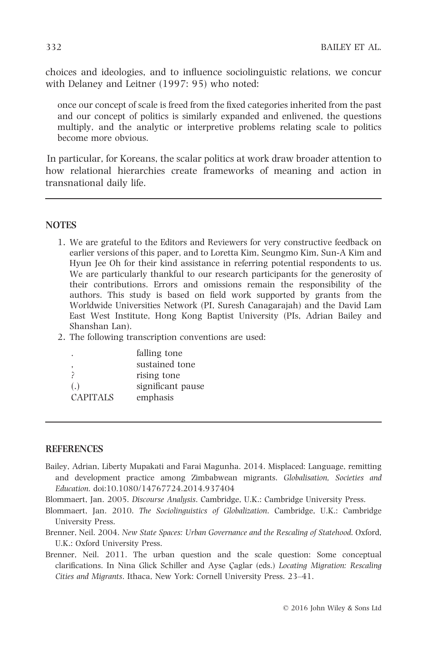choices and ideologies, and to influence sociolinguistic relations, we concur with Delaney and Leitner (1997: 95) who noted:

once our concept of scale is freed from the fixed categories inherited from the past and our concept of politics is similarly expanded and enlivened, the questions multiply, and the analytic or interpretive problems relating scale to politics become more obvious.

In particular, for Koreans, the scalar politics at work draw broader attention to how relational hierarchies create frameworks of meaning and action in transnational daily life.

#### **NOTES**

- 1. We are grateful to the Editors and Reviewers for very constructive feedback on earlier versions of this paper, and to Loretta Kim, Seungmo Kim, Sun-A Kim and Hyun Jee Oh for their kind assistance in referring potential respondents to us. We are particularly thankful to our research participants for the generosity of their contributions. Errors and omissions remain the responsibility of the authors. This study is based on field work supported by grants from the Worldwide Universities Network (PI, Suresh Canagarajah) and the David Lam East West Institute, Hong Kong Baptist University (PIs, Adrian Bailey and Shanshan Lan).
- 2. The following transcription conventions are used:

| ٠                 | falling tone      |
|-------------------|-------------------|
|                   | sustained tone    |
| $\overline{z}$    | rising tone       |
| $\left( .\right)$ | significant pause |
| <b>CAPITALS</b>   | emphasis          |

#### **REFERENCES**

- Bailey, Adrian, Liberty Mupakati and Farai Magunha. 2014. Misplaced: Language, remitting and development practice among Zimbabwean migrants. Globalisation, Societies and Education. doi:[10.1080/14767724.2014.937404](http://dx.doi.org/10.1080/14767724.2014.937404)
- Blommaert, Jan. 2005. Discourse Analysis. Cambridge, U.K.: Cambridge University Press.
- Blommaert, Jan. 2010. The Sociolinguistics of Globalization. Cambridge, U.K.: Cambridge University Press.
- Brenner, Neil. 2004. New State Spaces: Urban Governance and the Rescaling of Statehood. Oxford, U.K.: Oxford University Press.
- Brenner, Neil. 2011. The urban question and the scale question: Some conceptual clarifications. In Nina Glick Schiller and Ayse Caglar (eds.) Locating Migration: Rescaling Cities and Migrants. Ithaca, New York: Cornell University Press. 23–41.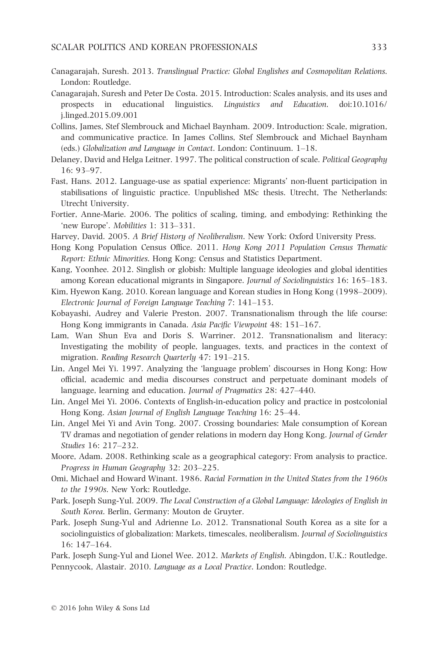- Canagarajah, Suresh. 2013. Translingual Practice: Global Englishes and Cosmopolitan Relations. London: Routledge.
- Canagarajah, Suresh and Peter De Costa. 2015. Introduction: Scales analysis, and its uses and prospects in educational linguistics. Linguistics and Education. doi:[10.1016/](http://dx.doi.org/10.1016/j.linged.2015.09.001) [j.linged.2015.09.001](http://dx.doi.org/10.1016/j.linged.2015.09.001)
- Collins, James, Stef Slembrouck and Michael Baynham. 2009. Introduction: Scale, migration, and communicative practice. In James Collins, Stef Slembrouck and Michael Baynham (eds.) Globalization and Language in Contact. London: Continuum. 1–18.
- Delaney, David and Helga Leitner. 1997. The political construction of scale. Political Geography 16: 93–97.
- Fast, Hans. 2012. Language-use as spatial experience: Migrants' non-fluent participation in stabilisations of linguistic practice. Unpublished MSc thesis. Utrecht, The Netherlands: Utrecht University.
- Fortier, Anne-Marie. 2006. The politics of scaling, timing, and embodying: Rethinking the 'new Europe'. Mobilities 1: 313–331.
- Harvey, David. 2005. A Brief History of Neoliberalism. New York: Oxford University Press.
- Hong Kong Population Census Office. 2011. Hong Kong 2011 Population Census Thematic Report: Ethnic Minorities. Hong Kong: Census and Statistics Department.
- Kang, Yoonhee. 2012. Singlish or globish: Multiple language ideologies and global identities among Korean educational migrants in Singapore. Journal of Sociolinguistics 16: 165–183.
- Kim, Hyewon Kang. 2010. Korean language and Korean studies in Hong Kong (1998–2009). Electronic Journal of Foreign Language Teaching 7: 141–153.
- Kobayashi, Audrey and Valerie Preston. 2007. Transnationalism through the life course: Hong Kong immigrants in Canada. Asia Pacific Viewpoint 48: 151–167.
- Lam, Wan Shun Eva and Doris S. Warriner. 2012. Transnationalism and literacy: Investigating the mobility of people, languages, texts, and practices in the context of migration. Reading Research Quarterly 47: 191–215.
- Lin, Angel Mei Yi. 1997. Analyzing the 'language problem' discourses in Hong Kong: How official, academic and media discourses construct and perpetuate dominant models of language, learning and education. Journal of Pragmatics 28: 427–440.
- Lin, Angel Mei Yi. 2006. Contexts of English-in-education policy and practice in postcolonial Hong Kong. Asian Journal of English Language Teaching 16: 25–44.
- Lin, Angel Mei Yi and Avin Tong. 2007. Crossing boundaries: Male consumption of Korean TV dramas and negotiation of gender relations in modern day Hong Kong. Journal of Gender Studies 16: 217–232.
- Moore, Adam. 2008. Rethinking scale as a geographical category: From analysis to practice. Progress in Human Geography 32: 203–225.
- Omi, Michael and Howard Winant. 1986. Racial Formation in the United States from the 1960s to the 1990s. New York: Routledge.
- Park, Joseph Sung-Yul. 2009. The Local Construction of a Global Language: Ideologies of English in South Korea. Berlin, Germany: Mouton de Gruyter.
- Park, Joseph Sung-Yul and Adrienne Lo. 2012. Transnational South Korea as a site for a sociolinguistics of globalization: Markets, timescales, neoliberalism. Journal of Sociolinguistics 16: 147–164.

Park, Joseph Sung-Yul and Lionel Wee. 2012. Markets of English. Abingdon, U.K.: Routledge. Pennycook, Alastair. 2010. Language as a Local Practice. London: Routledge.